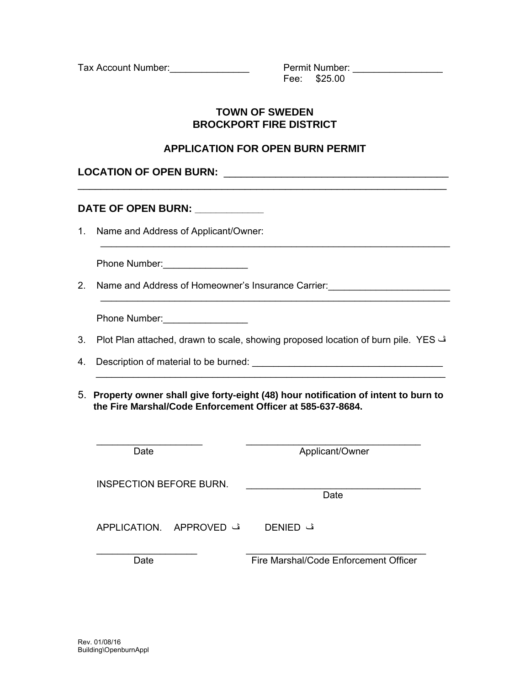Tax Account Number:\_\_\_\_\_\_\_\_\_\_\_\_\_\_\_ Permit Number: \_\_\_\_\_\_\_\_\_\_\_\_\_\_\_\_\_

 $\text{Fee:} \quad $25.00$ 

## **TOWN OF SWEDEN BROCKPORT FIRE DISTRICT**

## **APPLICATION FOR OPEN BURN PERMIT**

 $\mathcal{L}_\text{max}$  , and the contribution of the contribution of the contribution of the contribution of the contribution of the contribution of the contribution of the contribution of the contribution of the contribution of t

 $\mathcal{L}_\text{max}$  , and the contribution of the contribution of the contribution of the contribution of the contribution of the contribution of the contribution of the contribution of the contribution of the contribution of t

| <b>LOCATION OF OPEN BURN:</b> |  |
|-------------------------------|--|
|                               |  |

## **DATE OF OPEN BURN: \_\_\_\_\_\_\_\_\_\_\_\_\_**

1. Name and Address of Applicant/Owner:

| Phone Number: |
|---------------|
|---------------|

2. Name and Address of Homeowner's Insurance Carrier: \_\_\_\_\_\_\_\_\_\_\_\_\_\_\_\_\_\_\_\_\_\_\_\_\_\_

Phone Number: \_\_\_\_\_\_\_\_\_\_\_\_\_\_\_\_\_\_\_

| 3. Plot Plan attached, drawn to scale, showing proposed location of burn pile. YES ف |  |  |
|--------------------------------------------------------------------------------------|--|--|
|                                                                                      |  |  |

 $\mathcal{L}_\text{max}$  , and the contribution of the contribution of the contribution of the contribution of the contribution of the contribution of the contribution of the contribution of the contribution of the contribution of t

- 4. Description of material to be burned:
- 5. **Property owner shall give forty-eight (48) hour notification of intent to burn to the Fire Marshal/Code Enforcement Officer at 585-637-8684.**

| Date                           | Applicant/Owner                       |  |  |
|--------------------------------|---------------------------------------|--|--|
| <b>INSPECTION BEFORE BURN.</b> | Date                                  |  |  |
| ف APPLICATION. APPROVED        | ڤ DENIED                              |  |  |
| Date                           | Fire Marshal/Code Enforcement Officer |  |  |